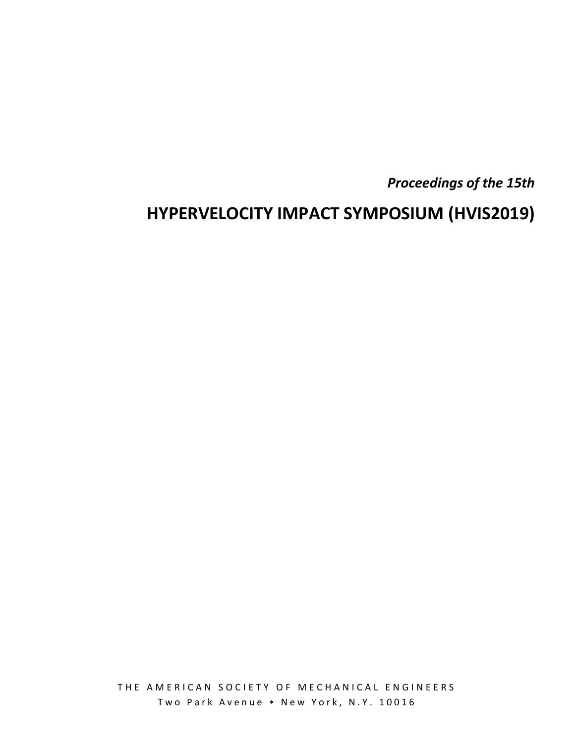*Proceedings of the 15th* 

# **HYPERVELOCITY IMPACT SYMPOSIUM (HVIS2019)**

THE AMERICAN SOCIETY OF MECHANICAL ENGINEERS Two Park Avenue \* New York, N.Y. 10016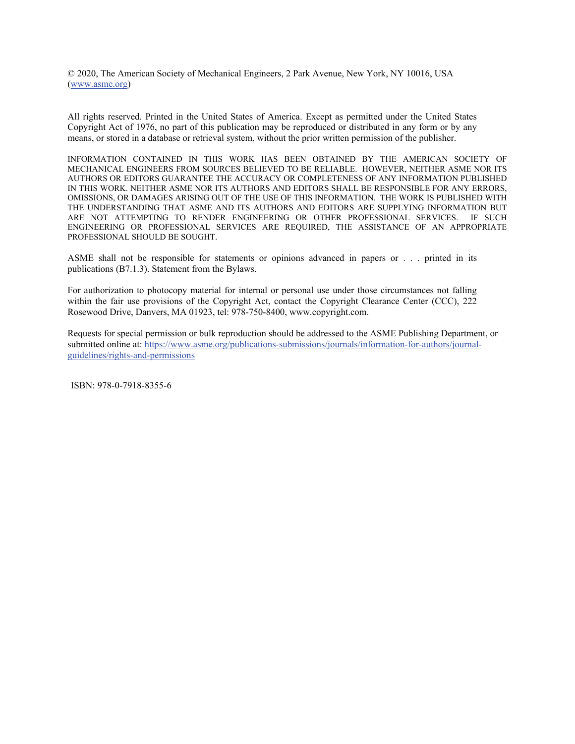© 2020, The American Society of Mechanical Engineers, 2 Park Avenue, New York, NY 10016, USA (www.asme.org)

All rights reserved. Printed in the United States of America. Except as permitted under the United States Copyright Act of 1976, no part of this publication may be reproduced or distributed in any form or by any means, or stored in a database or retrieval system, without the prior written permission of the publisher.

INFORMATION CONTAINED IN THIS WORK HAS BEEN OBTAINED BY THE AMERICAN SOCIETY OF MECHANICAL ENGINEERS FROM SOURCES BELIEVED TO BE RELIABLE. HOWEVER, NEITHER ASME NOR ITS AUTHORS OR EDITORS GUARANTEE THE ACCURACY OR COMPLETENESS OF ANY INFORMATION PUBLISHED IN THIS WORK. NEITHER ASME NOR ITS AUTHORS AND EDITORS SHALL BE RESPONSIBLE FOR ANY ERRORS, OMISSIONS, OR DAMAGES ARISING OUT OF THE USE OF THIS INFORMATION. THE WORK IS PUBLISHED WITH THE UNDERSTANDING THAT ASME AND ITS AUTHORS AND EDITORS ARE SUPPLYING INFORMATION BUT ARE NOT ATTEMPTING TO RENDER ENGINEERING OR OTHER PROFESSIONAL SERVICES. IF SUCH ENGINEERING OR PROFESSIONAL SERVICES ARE REQUIRED, THE ASSISTANCE OF AN APPROPRIATE PROFESSIONAL SHOULD BE SOUGHT.

ASME shall not be responsible for statements or opinions advanced in papers or . . . printed in its publications (B7.1.3). Statement from the Bylaws.

For authorization to photocopy material for internal or personal use under those circumstances not falling within the fair use provisions of the Copyright Act, contact the Copyright Clearance Center (CCC), 222 Rosewood Drive, Danvers, MA 01923, tel: 978-750-8400, www.copyright.com.

Requests for special permission or bulk reproduction should be addressed to the ASME Publishing Department, or submitted online at: https://www.asme.org/publications-submissions/journals/information-for-authors/journalguidelines/rights-and-permissions

ISBN: 978-0-7918-8355-6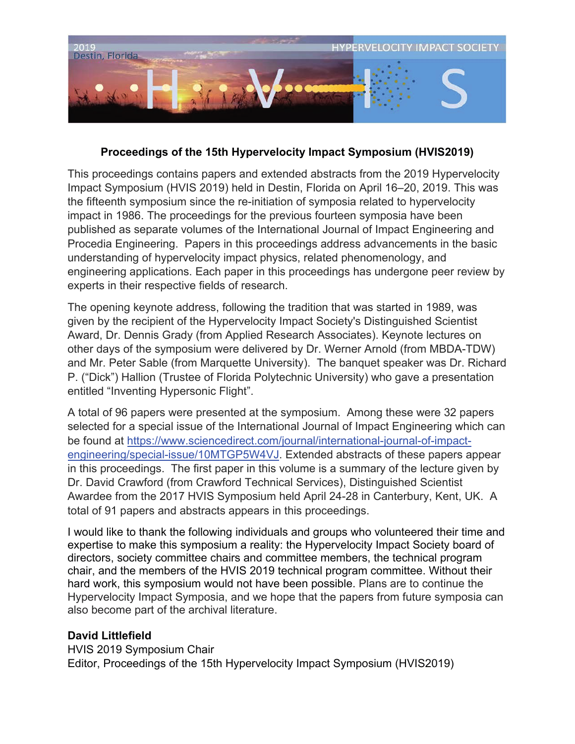

## **Proceedings of the 15th Hypervelocity Impact Symposium (HVIS2019)**

This proceedings contains papers and extended abstracts from the 2019 Hypervelocity Impact Symposium (HVIS 2019) held in Destin, Florida on April 16–20, 2019. This was the fifteenth symposium since the re-initiation of symposia related to hypervelocity impact in 1986. The proceedings for the previous fourteen symposia have been published as separate volumes of the International Journal of Impact Engineering and Procedia Engineering. Papers in this proceedings address advancements in the basic understanding of hypervelocity impact physics, related phenomenology, and engineering applications. Each paper in this proceedings has undergone peer review by experts in their respective fields of research.

The opening keynote address, following the tradition that was started in 1989, was given by the recipient of the Hypervelocity Impact Society's Distinguished Scientist Award, Dr. Dennis Grady (from Applied Research Associates). Keynote lectures on other days of the symposium were delivered by Dr. Werner Arnold (from MBDA-TDW) and Mr. Peter Sable (from Marquette University). The banquet speaker was Dr. Richard P. ("Dick") Hallion (Trustee of Florida Polytechnic University) who gave a presentation entitled "Inventing Hypersonic Flight".

A total of 96 papers were presented at the symposium. Among these were 32 papers selected for a special issue of the International Journal of Impact Engineering which can be found at https://www.sciencedirect.com/journal/international-journal-of-impactengineering/special-issue/10MTGP5W4VJ. Extended abstracts of these papers appear in this proceedings. The first paper in this volume is a summary of the lecture given by Dr. David Crawford (from Crawford Technical Services), Distinguished Scientist Awardee from the 2017 HVIS Symposium held April 24-28 in Canterbury, Kent, UK. A total of 91 papers and abstracts appears in this proceedings.

I would like to thank the following individuals and groups who volunteered their time and expertise to make this symposium a reality: the Hypervelocity Impact Society board of directors, society committee chairs and committee members, the technical program chair, and the members of the HVIS 2019 technical program committee. Without their hard work, this symposium would not have been possible. Plans are to continue the Hypervelocity Impact Symposia, and we hope that the papers from future symposia can also become part of the archival literature.

## **David Littlefield**

HVIS 2019 Symposium Chair Editor, Proceedings of the 15th Hypervelocity Impact Symposium (HVIS2019)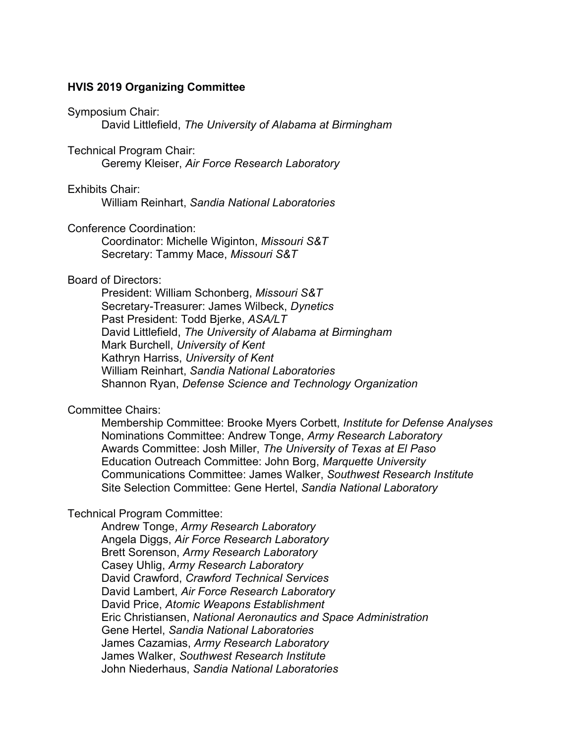#### **HVIS 2019 Organizing Committee**

#### Symposium Chair:

David Littlefield, *The University of Alabama at Birmingham* 

#### Technical Program Chair:

Geremy Kleiser, *Air Force Research Laboratory* 

#### Exhibits Chair:

William Reinhart, *Sandia National Laboratories*

#### Conference Coordination:

Coordinator: Michelle Wiginton, *Missouri S&T*  Secretary: Tammy Mace, *Missouri S&T* 

#### Board of Directors:

President: William Schonberg, *Missouri S&T*  Secretary-Treasurer: James Wilbeck, *Dynetics*  Past President: Todd Bjerke, *ASA/LT*  David Littlefield, *The University of Alabama at Birmingham*  Mark Burchell, *University of Kent*  Kathryn Harriss, *University of Kent*  William Reinhart, *Sandia National Laboratories*  Shannon Ryan, *Defense Science and Technology Organization* 

#### Committee Chairs:

Membership Committee: Brooke Myers Corbett, *Institute for Defense Analyses*  Nominations Committee: Andrew Tonge, *Army Research Laboratory*  Awards Committee: Josh Miller, *The University of Texas at El Paso*  Education Outreach Committee: John Borg, *Marquette University*  Communications Committee: James Walker, *Southwest Research Institute*  Site Selection Committee: Gene Hertel, *Sandia National Laboratory* 

#### Technical Program Committee:

Andrew Tonge, *Army Research Laboratory*  Angela Diggs, *Air Force Research Laboratory*  Brett Sorenson, *Army Research Laboratory*  Casey Uhlig, *Army Research Laboratory*  David Crawford, *Crawford Technical Services*  David Lambert, *Air Force Research Laboratory*  David Price, *Atomic Weapons Establishment*  Eric Christiansen, *National Aeronautics and Space Administration*  Gene Hertel, *Sandia National Laboratories*  James Cazamias, *Army Research Laboratory*  James Walker, *Southwest Research Institute*  John Niederhaus, *Sandia National Laboratories*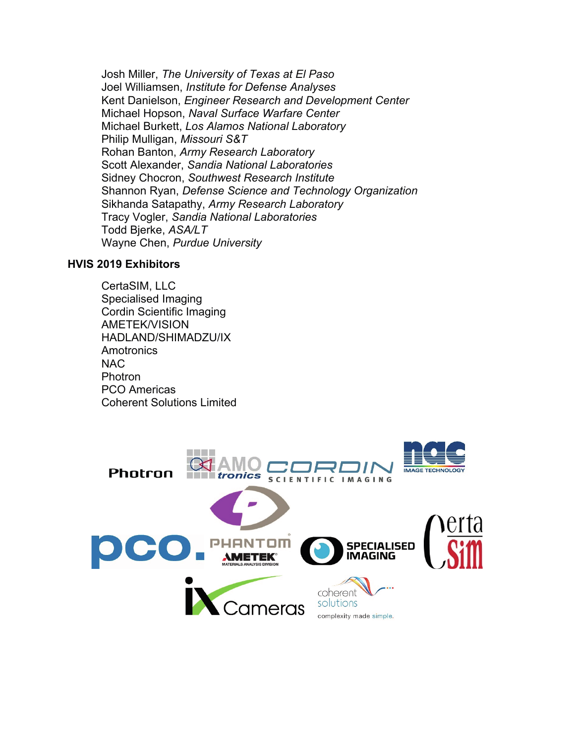Josh Miller, *The University of Texas at El Paso*  Joel Williamsen, *Institute for Defense Analyses*  Kent Danielson, *Engineer Research and Development Center*  Michael Hopson, *Naval Surface Warfare Center*  Michael Burkett, *Los Alamos National Laboratory*  Philip Mulligan, *Missouri S&T*  Rohan Banton, *Army Research Laboratory*  Scott Alexander, *Sandia National Laboratories*  Sidney Chocron, *Southwest Research Institute*  Shannon Ryan, *Defense Science and Technology Organization*  Sikhanda Satapathy, *Army Research Laboratory*  Tracy Vogler, *Sandia National Laboratories*  Todd Bjerke, *ASA/LT*  Wayne Chen, *Purdue University*

### **HVIS 2019 Exhibitors**

CertaSIM, LLC Specialised Imaging Cordin Scientific Imaging AMETEK/VISION HADLAND/SHIMADZU/IX **Amotronics** NAC Photron PCO Americas Coherent Solutions Limited

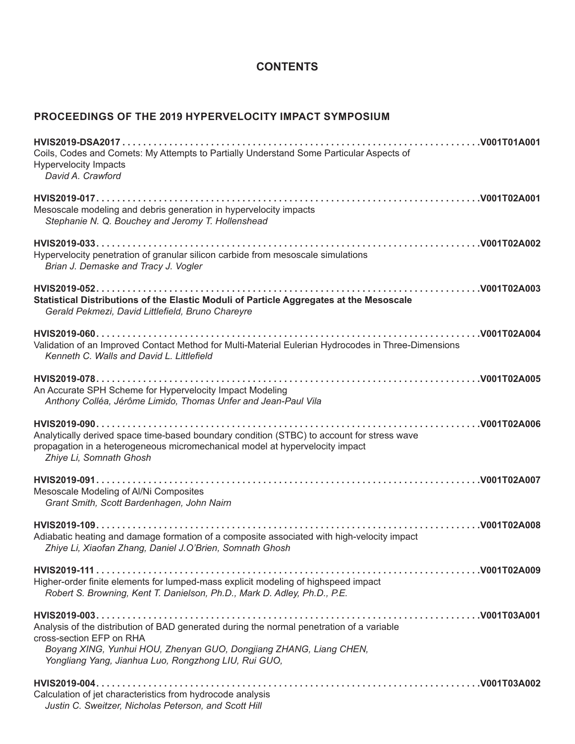## **CONTENTS**

## PROCEEDINGS OF THE 2019 HYPERVELOCITY IMPACT SYMPOSIUM

| Coils, Codes and Comets: My Attempts to Partially Understand Some Particular Aspects of<br><b>Hypervelocity Impacts</b><br>David A. Crawford                                                                                                        |
|-----------------------------------------------------------------------------------------------------------------------------------------------------------------------------------------------------------------------------------------------------|
| Mesoscale modeling and debris generation in hypervelocity impacts<br>Stephanie N. Q. Bouchey and Jeromy T. Hollenshead                                                                                                                              |
| Hypervelocity penetration of granular silicon carbide from mesoscale simulations<br>Brian J. Demaske and Tracy J. Vogler                                                                                                                            |
| Statistical Distributions of the Elastic Moduli of Particle Aggregates at the Mesoscale<br>Gerald Pekmezi, David Littlefield, Bruno Chareyre                                                                                                        |
| Validation of an Improved Contact Method for Multi-Material Eulerian Hydrocodes in Three-Dimensions<br>Kenneth C. Walls and David L. Littlefield                                                                                                    |
| An Accurate SPH Scheme for Hypervelocity Impact Modeling<br>Anthony Colléa, Jérôme Limido, Thomas Unfer and Jean-Paul Vila                                                                                                                          |
| Analytically derived space time-based boundary condition (STBC) to account for stress wave<br>propagation in a heterogeneous micromechanical model at hypervelocity impact<br>Zhiye Li, Somnath Ghosh                                               |
| Mesoscale Modeling of Al/Ni Composites<br>Grant Smith, Scott Bardenhagen, John Nairn                                                                                                                                                                |
| Adiabatic heating and damage formation of a composite associated with high-velocity impact<br>Zhiye Li, Xiaofan Zhang, Daniel J.O'Brien, Somnath Ghosh                                                                                              |
| Higher-order finite elements for lumped-mass explicit modeling of highspeed impact<br>Robert S. Browning, Kent T. Danielson, Ph.D., Mark D. Adley, Ph.D., P.E.                                                                                      |
| Analysis of the distribution of BAD generated during the normal penetration of a variable<br>cross-section EFP on RHA<br>Boyang XING, Yunhui HOU, Zhenyan GUO, Dongjiang ZHANG, Liang CHEN,<br>Yongliang Yang, Jianhua Luo, Rongzhong LIU, Rui GUO, |
| Calculation of jet characteristics from hydrocode analysis<br>Justin C. Sweitzer, Nicholas Peterson, and Scott Hill                                                                                                                                 |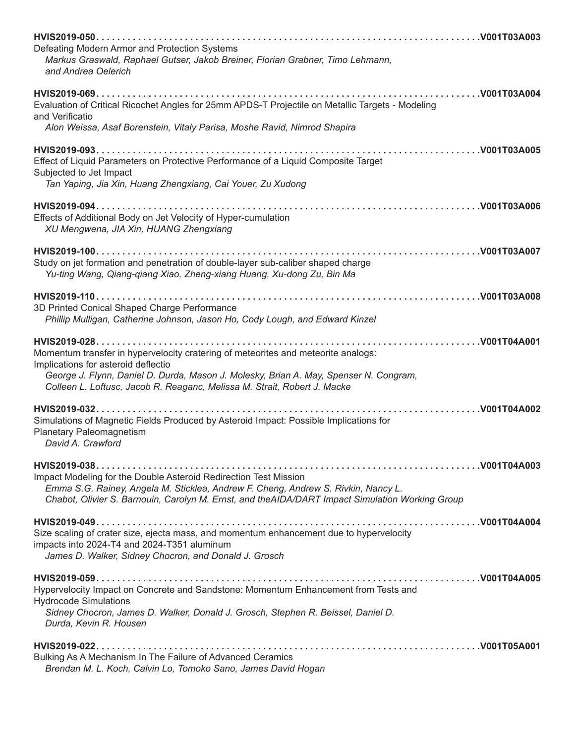| Defeating Modern Armor and Protection Systems<br>Markus Graswald, Raphael Gutser, Jakob Breiner, Florian Grabner, Timo Lehmann,                                                                                                                                                               |
|-----------------------------------------------------------------------------------------------------------------------------------------------------------------------------------------------------------------------------------------------------------------------------------------------|
| and Andrea Oelerich                                                                                                                                                                                                                                                                           |
| Evaluation of Critical Ricochet Angles for 25mm APDS-T Projectile on Metallic Targets - Modeling<br>and Verificatio<br>Alon Weissa, Asaf Borenstein, Vitaly Parisa, Moshe Ravid, Nimrod Shapira                                                                                               |
|                                                                                                                                                                                                                                                                                               |
| Effect of Liquid Parameters on Protective Performance of a Liquid Composite Target<br>Subjected to Jet Impact<br>Tan Yaping, Jia Xin, Huang Zhengxiang, Cai Youer, Zu Xudong                                                                                                                  |
| Effects of Additional Body on Jet Velocity of Hyper-cumulation<br>XU Mengwena, JIA Xin, HUANG Zhengxiang                                                                                                                                                                                      |
| Study on jet formation and penetration of double-layer sub-caliber shaped charge<br>Yu-ting Wang, Qiang-qiang Xiao, Zheng-xiang Huang, Xu-dong Zu, Bin Ma                                                                                                                                     |
| 3D Printed Conical Shaped Charge Performance<br>Phillip Mulligan, Catherine Johnson, Jason Ho, Cody Lough, and Edward Kinzel                                                                                                                                                                  |
| Momentum transfer in hypervelocity cratering of meteorites and meteorite analogs:<br>Implications for asteroid deflectio<br>George J. Flynn, Daniel D. Durda, Mason J. Molesky, Brian A. May, Spenser N. Congram,<br>Colleen L. Loftusc, Jacob R. Reaganc, Melissa M. Strait, Robert J. Macke |
| Simulations of Magnetic Fields Produced by Asteroid Impact: Possible Implications for<br><b>Planetary Paleomagnetism</b><br>David A. Crawford                                                                                                                                                 |
| Impact Modeling for the Double Asteroid Redirection Test Mission<br>Emma S.G. Rainey, Angela M. Sticklea, Andrew F. Cheng, Andrew S. Rivkin, Nancy L.<br>Chabot, Olivier S. Barnouin, Carolyn M. Ernst, and theAIDA/DART Impact Simulation Working Group                                      |
| Size scaling of crater size, ejecta mass, and momentum enhancement due to hypervelocity<br>impacts into 2024-T4 and 2024-T351 aluminum<br>James D. Walker, Sidney Chocron, and Donald J. Grosch                                                                                               |
| Hypervelocity Impact on Concrete and Sandstone: Momentum Enhancement from Tests and<br><b>Hydrocode Simulations</b><br>Sidney Chocron, James D. Walker, Donald J. Grosch, Stephen R. Beissel, Daniel D.<br>Durda, Kevin R. Housen                                                             |
| Bulking As A Mechanism In The Failure of Advanced Ceramics<br>Brendan M. L. Koch, Calvin Lo, Tomoko Sano, James David Hogan                                                                                                                                                                   |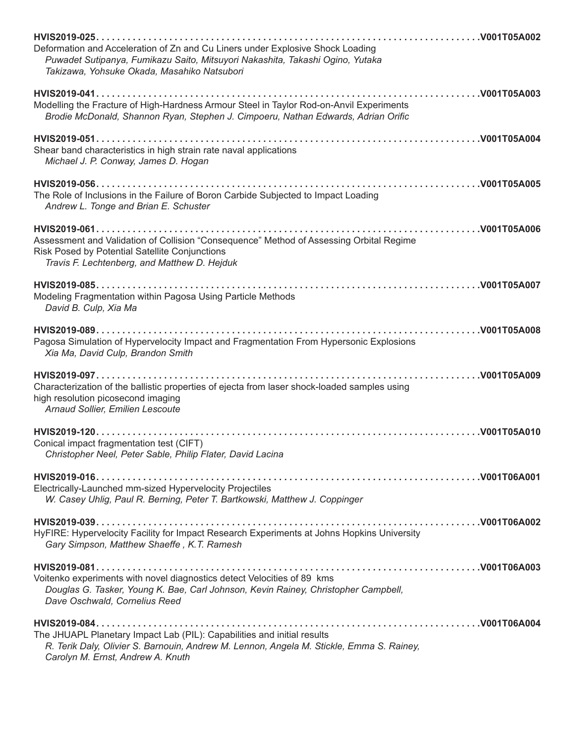| Deformation and Acceleration of Zn and Cu Liners under Explosive Shock Loading<br>Puwadet Sutipanya, Fumikazu Saito, Mitsuyori Nakashita, Takashi Ogino, Yutaka<br>Takizawa, Yohsuke Okada, Masahiko Natsubori |
|----------------------------------------------------------------------------------------------------------------------------------------------------------------------------------------------------------------|
| Modelling the Fracture of High-Hardness Armour Steel in Taylor Rod-on-Anvil Experiments<br>Brodie McDonald, Shannon Ryan, Stephen J. Cimpoeru, Nathan Edwards, Adrian Orific                                   |
| Shear band characteristics in high strain rate naval applications<br>Michael J. P. Conway, James D. Hogan                                                                                                      |
| The Role of Inclusions in the Failure of Boron Carbide Subjected to Impact Loading<br>Andrew L. Tonge and Brian E. Schuster                                                                                    |
| Assessment and Validation of Collision "Consequence" Method of Assessing Orbital Regime<br>Risk Posed by Potential Satellite Conjunctions<br>Travis F. Lechtenberg, and Matthew D. Hejduk                      |
| Modeling Fragmentation within Pagosa Using Particle Methods<br>David B. Culp, Xia Ma                                                                                                                           |
| Pagosa Simulation of Hypervelocity Impact and Fragmentation From Hypersonic Explosions<br>Xia Ma, David Culp, Brandon Smith                                                                                    |
| Characterization of the ballistic properties of ejecta from laser shock-loaded samples using<br>high resolution picosecond imaging<br>Arnaud Sollier, Emilien Lescoute                                         |
| Conical impact fragmentation test (CIFT)<br>Christopher Neel, Peter Sable, Philip Flater, David Lacina                                                                                                         |
| Electrically-Launched mm-sized Hypervelocity Projectiles<br>W. Casey Uhlig, Paul R. Berning, Peter T. Bartkowski, Matthew J. Coppinger                                                                         |
| HyFIRE: Hypervelocity Facility for Impact Research Experiments at Johns Hopkins University<br>Gary Simpson, Matthew Shaeffe, K.T. Ramesh                                                                       |
| Voitenko experiments with novel diagnostics detect Velocities of 89 kms<br>Douglas G. Tasker, Young K. Bae, Carl Johnson, Kevin Rainey, Christopher Campbell,<br>Dave Oschwald, Cornelius Reed                 |
| The JHUAPL Planetary Impact Lab (PIL): Capabilities and initial results<br>R. Terik Daly, Olivier S. Barnouin, Andrew M. Lennon, Angela M. Stickle, Emma S. Rainey,<br>Carolyn M. Ernst, Andrew A. Knuth       |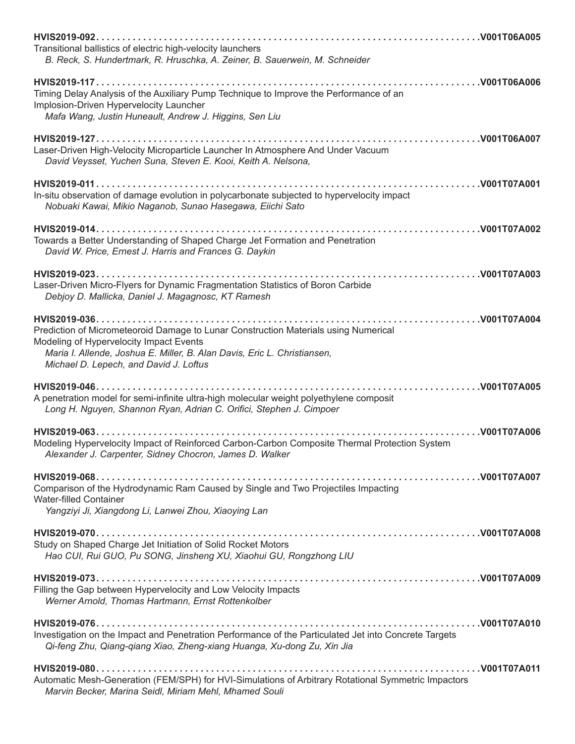| Transitional ballistics of electric high-velocity launchers<br>B. Reck, S. Hundertmark, R. Hruschka, A. Zeiner, B. Sauerwein, M. Schneider                    |
|---------------------------------------------------------------------------------------------------------------------------------------------------------------|
|                                                                                                                                                               |
| Timing Delay Analysis of the Auxiliary Pump Technique to Improve the Performance of an                                                                        |
| Implosion-Driven Hypervelocity Launcher                                                                                                                       |
| Mafa Wang, Justin Huneault, Andrew J. Higgins, Sen Liu                                                                                                        |
|                                                                                                                                                               |
| Laser-Driven High-Velocity Microparticle Launcher In Atmosphere And Under Vacuum                                                                              |
| David Veysset, Yuchen Suna, Steven E. Kooi, Keith A. Nelsona,                                                                                                 |
|                                                                                                                                                               |
|                                                                                                                                                               |
| In-situ observation of damage evolution in polycarbonate subjected to hypervelocity impact                                                                    |
| Nobuaki Kawai, Mikio Naganob, Sunao Hasegawa, Eiichi Sato                                                                                                     |
|                                                                                                                                                               |
| Towards a Better Understanding of Shaped Charge Jet Formation and Penetration                                                                                 |
| David W. Price, Ernest J. Harris and Frances G. Daykin                                                                                                        |
|                                                                                                                                                               |
| Laser-Driven Micro-Flyers for Dynamic Fragmentation Statistics of Boron Carbide                                                                               |
| Debjoy D. Mallicka, Daniel J. Magagnosc, KT Ramesh                                                                                                            |
|                                                                                                                                                               |
|                                                                                                                                                               |
| Prediction of Micrometeoroid Damage to Lunar Construction Materials using Numerical                                                                           |
| Modeling of Hypervelocity Impact Events                                                                                                                       |
| Maria I. Allende, Joshua E. Miller, B. Alan Davis, Eric L. Christiansen,<br>Michael D. Lepech, and David J. Loftus                                            |
|                                                                                                                                                               |
|                                                                                                                                                               |
| A penetration model for semi-infinite ultra-high molecular weight polyethylene composit                                                                       |
| Long H. Nguyen, Shannon Ryan, Adrian C. Orifici, Stephen J. Cimpoer                                                                                           |
|                                                                                                                                                               |
| Modeling Hypervelocity Impact of Reinforced Carbon-Carbon Composite Thermal Protection System                                                                 |
| Alexander J. Carpenter, Sidney Chocron, James D. Walker                                                                                                       |
|                                                                                                                                                               |
|                                                                                                                                                               |
| Comparison of the Hydrodynamic Ram Caused by Single and Two Projectiles Impacting<br><b>Water-filled Container</b>                                            |
| Yangziyi Ji, Xiangdong Li, Lanwei Zhou, Xiaoying Lan                                                                                                          |
|                                                                                                                                                               |
|                                                                                                                                                               |
| Study on Shaped Charge Jet Initiation of Solid Rocket Motors                                                                                                  |
| Hao CUI, Rui GUO, Pu SONG, Jinsheng XU, Xiaohui GU, Rongzhong LIU                                                                                             |
|                                                                                                                                                               |
| Filling the Gap between Hypervelocity and Low Velocity Impacts                                                                                                |
| Werner Arnold, Thomas Hartmann, Ernst Rottenkolber                                                                                                            |
|                                                                                                                                                               |
| Investigation on the Impact and Penetration Performance of the Particulated Jet into Concrete Targets                                                         |
| Qi-feng Zhu, Qiang-qiang Xiao, Zheng-xiang Huanga, Xu-dong Zu, Xin Jia                                                                                        |
|                                                                                                                                                               |
|                                                                                                                                                               |
| Automatic Mesh-Generation (FEM/SPH) for HVI-Simulations of Arbitrary Rotational Symmetric Impactors<br>Marvin Becker, Marina Seidl, Miriam Mehl, Mhamed Souli |
|                                                                                                                                                               |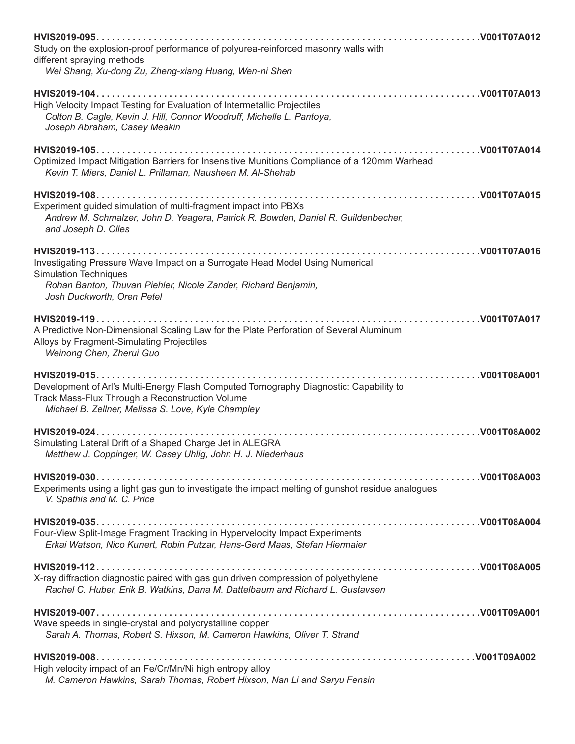| Study on the explosion-proof performance of polyurea-reinforced masonry walls with<br>different spraying methods                                                                                             |
|--------------------------------------------------------------------------------------------------------------------------------------------------------------------------------------------------------------|
| Wei Shang, Xu-dong Zu, Zheng-xiang Huang, Wen-ni Shen                                                                                                                                                        |
| High Velocity Impact Testing for Evaluation of Intermetallic Projectiles<br>Colton B. Cagle, Kevin J. Hill, Connor Woodruff, Michelle L. Pantoya,<br>Joseph Abraham, Casey Meakin                            |
| Optimized Impact Mitigation Barriers for Insensitive Munitions Compliance of a 120mm Warhead<br>Kevin T. Miers, Daniel L. Prillaman, Nausheen M. Al-Shehab                                                   |
| Experiment guided simulation of multi-fragment impact into PBXs<br>Andrew M. Schmalzer, John D. Yeagera, Patrick R. Bowden, Daniel R. Guildenbecher,<br>and Joseph D. Olles                                  |
| Investigating Pressure Wave Impact on a Surrogate Head Model Using Numerical<br><b>Simulation Techniques</b><br>Rohan Banton, Thuvan Piehler, Nicole Zander, Richard Benjamin,<br>Josh Duckworth, Oren Petel |
| A Predictive Non-Dimensional Scaling Law for the Plate Perforation of Several Aluminum<br>Alloys by Fragment-Simulating Projectiles<br>Weinong Chen, Zherui Guo                                              |
| Development of Arl's Multi-Energy Flash Computed Tomography Diagnostic: Capability to<br>Track Mass-Flux Through a Reconstruction Volume<br>Michael B. Zellner, Melissa S. Love, Kyle Champley               |
| Simulating Lateral Drift of a Shaped Charge Jet in ALEGRA<br>Matthew J. Coppinger, W. Casey Uhlig, John H. J. Niederhaus                                                                                     |
| Experiments using a light gas gun to investigate the impact melting of gunshot residue analogues<br>V. Spathis and M. C. Price                                                                               |
| Four-View Split-Image Fragment Tracking in Hypervelocity Impact Experiments<br>Erkai Watson, Nico Kunert, Robin Putzar, Hans-Gerd Maas, Stefan Hiermaier                                                     |
| X-ray diffraction diagnostic paired with gas gun driven compression of polyethylene<br>Rachel C. Huber, Erik B. Watkins, Dana M. Dattelbaum and Richard L. Gustavsen                                         |
| Wave speeds in single-crystal and polycrystalline copper<br>Sarah A. Thomas, Robert S. Hixson, M. Cameron Hawkins, Oliver T. Strand                                                                          |
| High velocity impact of an Fe/Cr/Mn/Ni high entropy alloy<br>M. Cameron Hawkins, Sarah Thomas, Robert Hixson, Nan Li and Saryu Fensin                                                                        |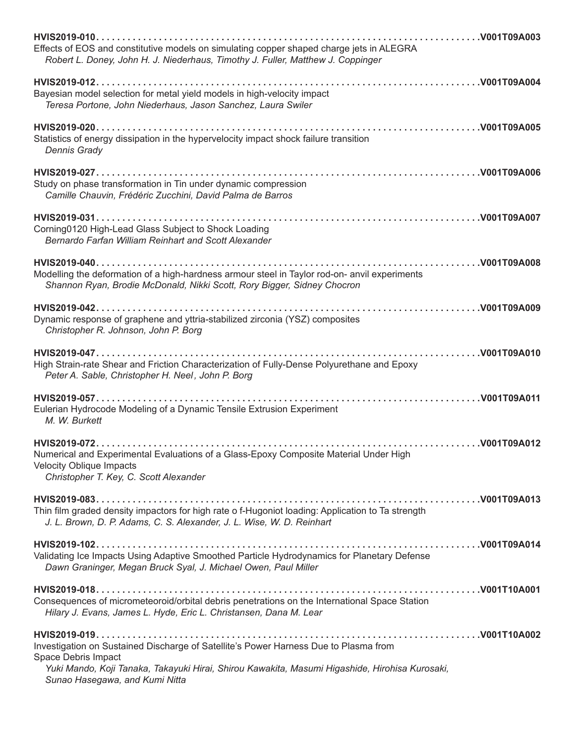| Effects of EOS and constitutive models on simulating copper shaped charge jets in ALEGRA<br>Robert L. Doney, John H. J. Niederhaus, Timothy J. Fuller, Matthew J. Coppinger                                                                     |
|-------------------------------------------------------------------------------------------------------------------------------------------------------------------------------------------------------------------------------------------------|
| Bayesian model selection for metal yield models in high-velocity impact<br>Teresa Portone, John Niederhaus, Jason Sanchez, Laura Swiler                                                                                                         |
| Statistics of energy dissipation in the hypervelocity impact shock failure transition<br><b>Dennis Grady</b>                                                                                                                                    |
| Study on phase transformation in Tin under dynamic compression<br>Camille Chauvin, Frédéric Zucchini, David Palma de Barros                                                                                                                     |
| Corning0120 High-Lead Glass Subject to Shock Loading<br>Bernardo Farfan William Reinhart and Scott Alexander                                                                                                                                    |
| Modelling the deformation of a high-hardness armour steel in Taylor rod-on- anvil experiments<br>Shannon Ryan, Brodie McDonald, Nikki Scott, Rory Bigger, Sidney Chocron                                                                        |
| Dynamic response of graphene and yttria-stabilized zirconia (YSZ) composites<br>Christopher R. Johnson, John P. Borg                                                                                                                            |
| High Strain-rate Shear and Friction Characterization of Fully-Dense Polyurethane and Epoxy<br>Peter A. Sable, Christopher H. Neel, John P. Borg                                                                                                 |
| Eulerian Hydrocode Modeling of a Dynamic Tensile Extrusion Experiment<br>M. W. Burkett                                                                                                                                                          |
| Numerical and Experimental Evaluations of a Glass-Epoxy Composite Material Under High<br><b>Velocity Oblique Impacts</b><br>Christopher T. Key, C. Scott Alexander                                                                              |
| Thin film graded density impactors for high rate o f-Hugoniot loading: Application to Ta strength<br>J. L. Brown, D. P. Adams, C. S. Alexander, J. L. Wise, W. D. Reinhart                                                                      |
| Validating Ice Impacts Using Adaptive Smoothed Particle Hydrodynamics for Planetary Defense<br>Dawn Graninger, Megan Bruck Syal, J. Michael Owen, Paul Miller                                                                                   |
| Consequences of micrometeoroid/orbital debris penetrations on the International Space Station<br>Hilary J. Evans, James L. Hyde, Eric L. Christansen, Dana M. Lear                                                                              |
| Investigation on Sustained Discharge of Satellite's Power Harness Due to Plasma from<br>Space Debris Impact<br>Yuki Mando, Koji Tanaka, Takayuki Hirai, Shirou Kawakita, Masumi Higashide, Hirohisa Kurosaki,<br>Sunao Hasegawa, and Kumi Nitta |